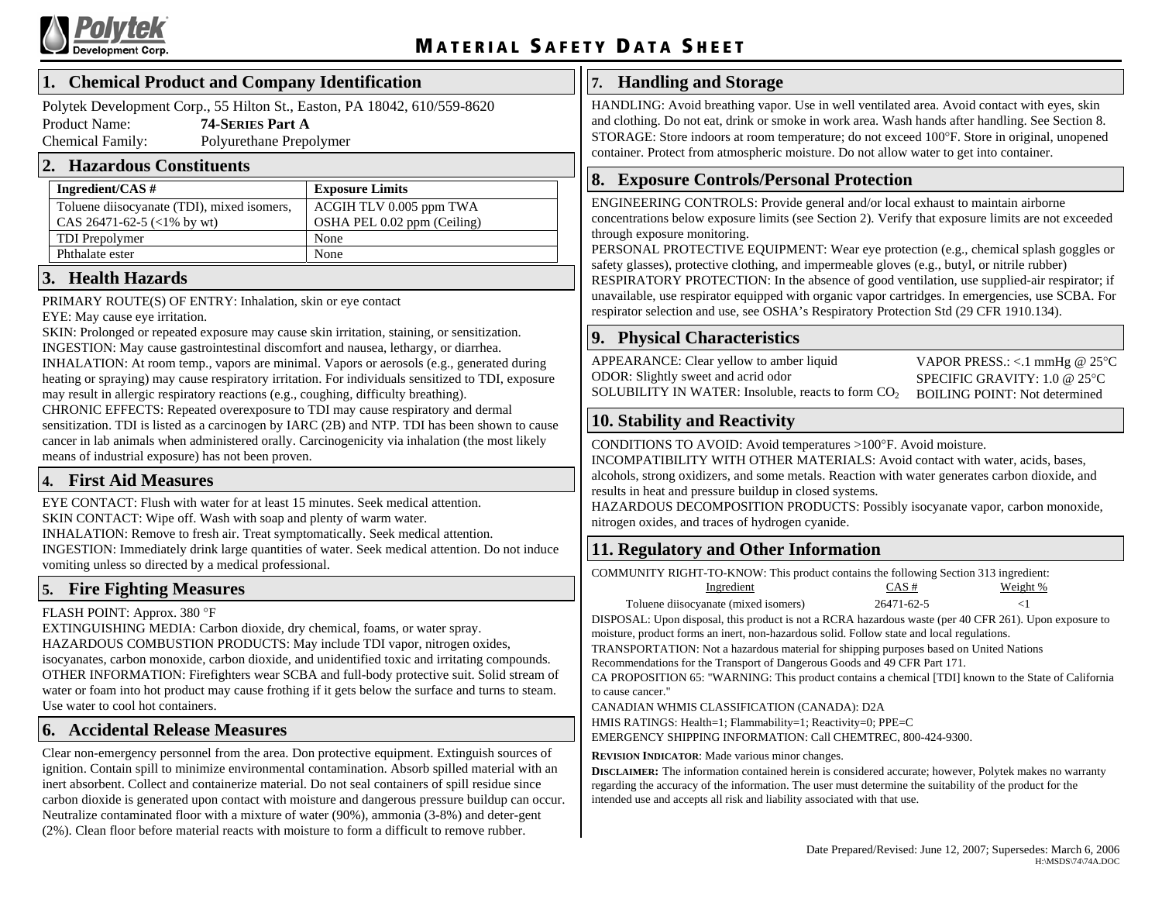

#### **1. Chemical Product and Company Identification**

Pol ytek Development Corp., 55 Hilton St., Easton, PA 18042, 610/559-8620 Product Name: **74-SERIES Part A**  Chemical Family: Polyurethane Prepolymer

#### **2.Haz ardous Constituents**

| Ingredient/CAS $#$                         | <b>Exposure Limits</b>      |
|--------------------------------------------|-----------------------------|
| Toluene diisocyanate (TDI), mixed isomers, | ACGIH TLV 0.005 ppm TWA     |
| CAS 26471-62-5 $(<1%$ by wt)               | OSHA PEL 0.02 ppm (Ceiling) |
| <b>TDI</b> Prepolymer                      | None                        |
| Phthalate ester                            | None                        |

#### **3. Health Hazards**

PRIMARY ROUTE(S) OF ENTRY: Inhalation, skin or eye contact

EYE: May cause eye irritation.

SKIN: Prolonged or repeated exposure may cause skin irritation, staining, or sensitization. INGESTION: May cause gastrointestinal discomfort and nausea, lethargy, or diarrhea. INHALATION: At room temp., vapors are minimal. Vapors or aerosols (e.g., generated during heating or spraying) may cause respiratory irritation. For individuals sensitized to TDI, exposure may result in allergic respiratory reactions (e.g., coughing, difficulty breathing). CHRONIC EFFECTS: Repeated overexposure to TDI may cause respiratory and dermal

sensitization. TDI is listed as a carcinogen by IARC (2B) and NTP. TDI has been shown to cause cancer in lab animals when administered orally. Carcinogenicity via inhalation (the most likely means of industrial exposure) has not been proven.

## **4. First Aid Measures**

EYE CONTACT: Flush with water for at least 15 minutes. Seek medical attention. SKIN CONTACT: Wipe off. Wash with soap and plenty of warm water.

INHALATION: Remove to fresh air. Treat symptomatically. Seek medical attention.

INGESTION: Immediately drink large quantities of water. Seek medical attention. Do not induce vomiting unless so directed by a medical professional.

## **5. Fire Fighting Measures**

#### FLASH POINT: Approx. 380 °F

EXTINGUISHING MEDIA: Carbon dioxide, dry chemical, foams, or water spray. HAZARDOUS COMBUSTION PRODUCTS: May include TDI vapor, nitrogen oxides, isocyanates, carbon monoxide, carbon dioxide, and unidentified toxic and irritating compounds. OTHER INFORMATION: Firefighters wear SCBA and full-body protective suit. Solid stream of water or foam into hot product may cause frothing if it gets below the surface and turns to steam. Use water to cool hot containers.

## **6. Accidental Release Measures**

Clear non-emergency personnel from the area. Don protective equipment. Extinguish sources of ignition. Contain spill to minimize environmental contamination. Absorb spilled material with an inert absorbent. Collect and containerize material. Do not seal containers of spill residue since carbon dioxide is generated upon contact with moisture and dangerous pressure buildup can occur. Neutralize contaminated floor with a mixture of water (90%), ammonia (3-8%) and deter-gent (2%). Clean floor before material reacts with moisture to form a difficult to remove rubber.

#### **7. Handling and Storage**

HANDLING: Avoid breathing vapor. Use in well ventilated area. Avoid contact with eyes, skin and clothing. Do not eat, drink or smoke in work area. Wash hands after handling. See Section 8. STORAGE: Store indoors at room temperature; do not exceed 100°F. Store in original, unopened container. Protect from atmospheric moisture. Do not allow water to get into container.

### **8. Exposure Controls/Personal Protection**

ENGINEERING CONTROLS: Provide general and/or local exhaust to maintain airborne concentrations below exposure limits (see Section 2). Verify that exposure limits are not exceeded through exposure monitoring.

PERSONAL PROTECTIVE EQUIPMENT: Wear eye protection (e.g., chemical splash goggles or safety glasses), protective clothing, and impermeable gloves (e.g., butyl, or nitrile rubber) RESPIRATORY PROTECTION: In the absence of good ventilation, use supplied-air respirator; if unavailable, use respirator equipped with organic vapor cartridges. In emergencies, use SCBA. For respirator selection and use, see OSHA's Respiratory Protection Std (29 CFR 1910.134).

## **9. Physical Characteristics**

APPEARANCE: Clear yellow to amber liquid ODOR: Slightly sweet and acrid odor SOLUBILITY IN WATER: Insoluble, reacts to form  $\mathrm{CO}_2$ 

VAPOR PRESS.: <.1 mmHg @ 25°C SPECIFIC GRAVITY: 1.0 @ 25°C BOILING POINT: Not determined

## **10. Stability and Reactivity**

CONDITIONS TO AVOID: Avoid temperatures >100°F. Avoid moisture.

INCOMPATIBILITY WITH OTHER MATERIALS: Avoid contact with water, acids, bases, alcohols, strong oxidizers, and some metals. Reaction with water generates carbon dioxide, and results in heat and pressure buildup in closed systems.

HAZARDOUS DECOMPOSITION PRODUCTS: Possibly isocyanate vapor, carbon monoxide, nitrogen oxides, and traces of hydrogen cyanide.

## **11. Regulatory and Other Information**

COMMUNITY RIGHT-TO-KNOW: This product contains the following Section 313 ingredient:

| Ingredient                           | $CAS \#$   | Weight % |
|--------------------------------------|------------|----------|
| Toluene diisocyanate (mixed isomers) | 26471-62-5 |          |

DISPOSAL: Upon disposal, this product is not a RCRA hazardous waste (per 40 CFR 261). Upon exposure to moisture, product forms an inert, non-hazardous solid. Follow state and local regulations.

TRANSPORTATION: Not a hazardous material for shipping purposes based on United Nations

Recom mendations for the Transport of Dangerous Goods and 49 CFR Part 171.

CA PROPOSI TION 65: "WARNING: This product contains a chemical [TDI] known to the State of California to cause cancer."

CANADIAN WHMIS CLASSIFICATION (CANADA): D2A

HMIS RATINGS: Health=1; Fla m mability=1; Reactivity=0; PPE=C

E ME RGENCY SHIPPING I NFORMATION: Call CHE MT R E C, 800-424-9300.

**REVISION INDICATOR**: Made various minor changes.

**DISCLAIMER:** The information contained herein is considered accurate; however, Polytek makes no warranty regarding the accuracy of the information. The user must determine the suitability of the product for the intended use and accepts all risk and liability associated with that use.